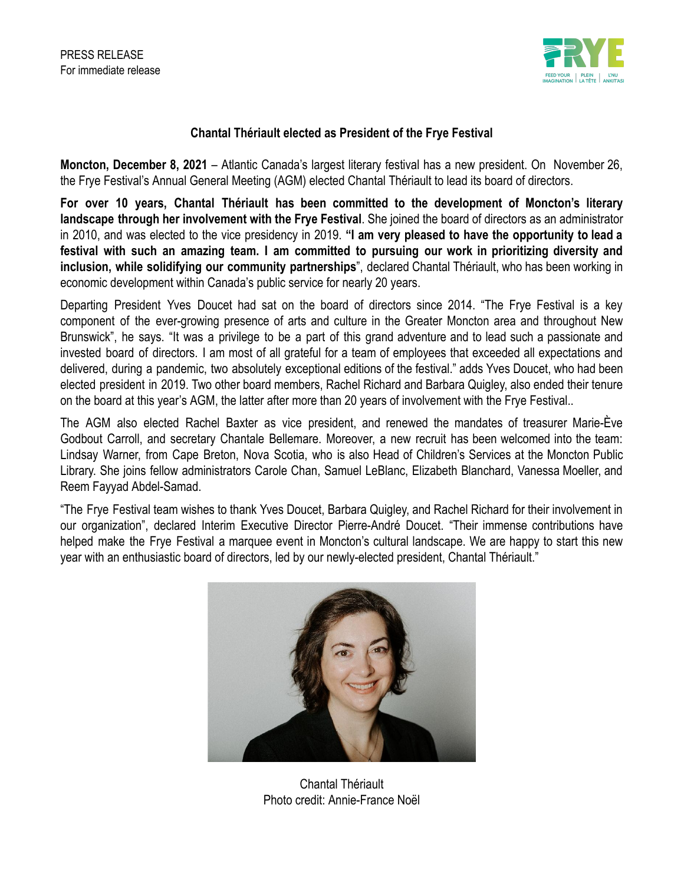

## **Chantal Thériault elected as President of the Frye Festival**

**Moncton, December 8, 2021** – Atlantic Canada's largest literary festival has a new president. On November 26, the Frye Festival's Annual General Meeting (AGM) elected Chantal Thériault to lead its board of directors.

**For over 10 years, Chantal Thériault has been committed to the development of Moncton's literary landscape through her involvement with the Frye Festival**. She joined the board of directors as an administrator in 2010, and was elected to the vice presidency in 2019. **"I am very pleased to have the opportunity to lead a festival with such an amazing team. I am committed to pursuing our work in prioritizing diversity and inclusion, while solidifying our community partnerships**", declared Chantal Thériault, who has been working in economic development within Canada's public service for nearly 20 years.

Departing President Yves Doucet had sat on the board of directors since 2014. "The Frye Festival is a key component of the ever-growing presence of arts and culture in the Greater Moncton area and throughout New Brunswick", he says. "It was a privilege to be a part of this grand adventure and to lead such a passionate and invested board of directors. I am most of all grateful for a team of employees that exceeded all expectations and delivered, during a pandemic, two absolutely exceptional editions of the festival." adds Yves Doucet, who had been elected president in 2019. Two other board members, Rachel Richard and Barbara Quigley, also ended their tenure on the board at this year's AGM, the latter after more than 20 years of involvement with the Frye Festival..

The AGM also elected Rachel Baxter as vice president, and renewed the mandates of treasurer Marie-Ève Godbout Carroll, and secretary Chantale Bellemare. Moreover, a new recruit has been welcomed into the team: Lindsay Warner, from Cape Breton, Nova Scotia, who is also Head of Children's Services at the Moncton Public Library. She joins fellow administrators Carole Chan, Samuel LeBlanc, Elizabeth Blanchard, Vanessa Moeller, and Reem Fayyad Abdel-Samad.

"The Frye Festival team wishes to thank Yves Doucet, Barbara Quigley, and Rachel Richard for their involvement in our organization", declared Interim Executive Director Pierre-André Doucet. "Their immense contributions have helped make the Frye Festival a marquee event in Moncton's cultural landscape. We are happy to start this new year with an enthusiastic board of directors, led by our newly-elected president, Chantal Thériault."



Chantal Thériault Photo credit: Annie-France Noël